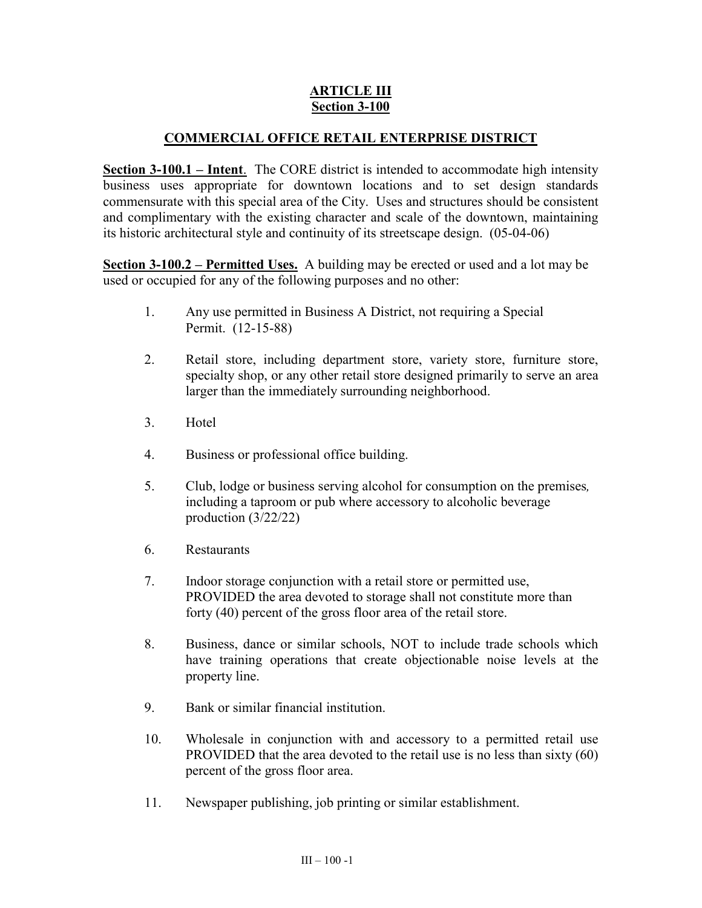# **ARTICLE III Section 3-100**

# **COMMERCIAL OFFICE RETAIL ENTERPRISE DISTRICT**

**Section 3-100.1 – Intent**. The CORE district is intended to accommodate high intensity business uses appropriate for downtown locations and to set design standards commensurate with this special area of the City. Uses and structures should be consistent and complimentary with the existing character and scale of the downtown, maintaining its historic architectural style and continuity of its streetscape design. (05-04-06)

**Section 3-100.2 – Permitted Uses.** A building may be erected or used and a lot may be used or occupied for any of the following purposes and no other:

- 1. Any use permitted in Business A District, not requiring a Special Permit. (12-15-88)
- 2. Retail store, including department store, variety store, furniture store, specialty shop, or any other retail store designed primarily to serve an area larger than the immediately surrounding neighborhood.
- 3. Hotel
- 4. Business or professional office building.
- 5. Club, lodge or business serving alcohol for consumption on the premises*,*  including a taproom or pub where accessory to alcoholic beverage production (3/22/22)
- 6. Restaurants
- 7. Indoor storage conjunction with a retail store or permitted use, PROVIDED the area devoted to storage shall not constitute more than forty (40) percent of the gross floor area of the retail store.
- 8. Business, dance or similar schools, NOT to include trade schools which have training operations that create objectionable noise levels at the property line.
- 9. Bank or similar financial institution.
- 10. Wholesale in conjunction with and accessory to a permitted retail use PROVIDED that the area devoted to the retail use is no less than sixty (60) percent of the gross floor area.
- 11. Newspaper publishing, job printing or similar establishment.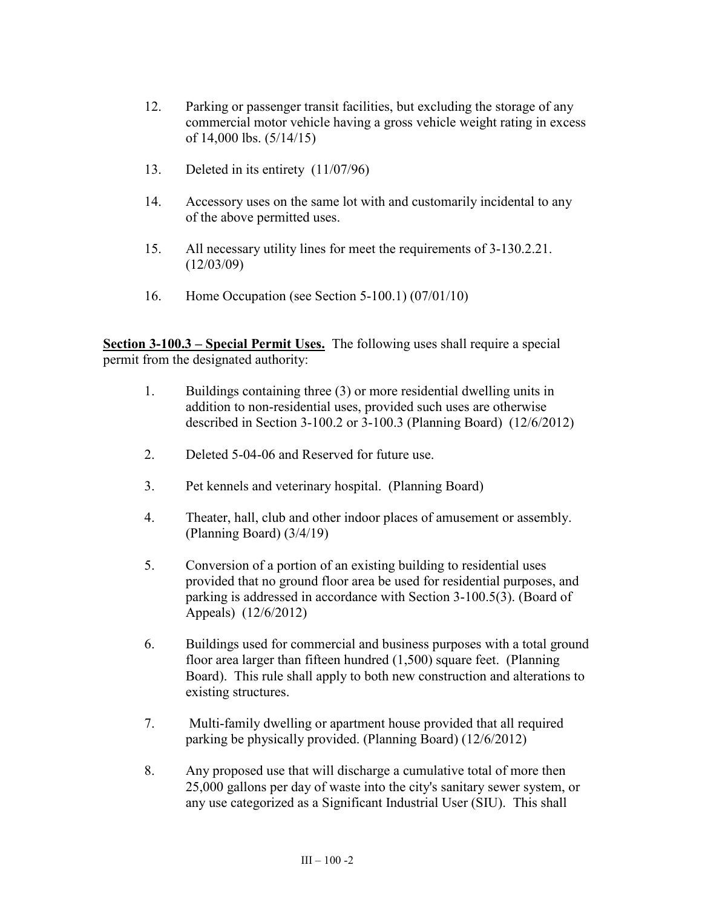- 12. Parking or passenger transit facilities, but excluding the storage of any commercial motor vehicle having a gross vehicle weight rating in excess of 14,000 lbs. (5/14/15)
- 13. Deleted in its entirety (11/07/96)
- 14. Accessory uses on the same lot with and customarily incidental to any of the above permitted uses.
- 15. All necessary utility lines for meet the requirements of 3-130.2.21. (12/03/09)
- 16. Home Occupation (see Section 5-100.1) (07/01/10)

**Section 3-100.3 – Special Permit Uses.** The following uses shall require a special permit from the designated authority:

- 1. Buildings containing three (3) or more residential dwelling units in addition to non-residential uses, provided such uses are otherwise described in Section 3-100.2 or 3-100.3 (Planning Board) (12/6/2012)
- 2. Deleted 5-04-06 and Reserved for future use.
- 3. Pet kennels and veterinary hospital. (Planning Board)
- 4. Theater, hall, club and other indoor places of amusement or assembly. (Planning Board) (3/4/19)
- 5. Conversion of a portion of an existing building to residential uses provided that no ground floor area be used for residential purposes, and parking is addressed in accordance with Section 3-100.5(3). (Board of Appeals) (12/6/2012)
- 6. Buildings used for commercial and business purposes with a total ground floor area larger than fifteen hundred (1,500) square feet. (Planning Board). This rule shall apply to both new construction and alterations to existing structures.
- 7. Multi-family dwelling or apartment house provided that all required parking be physically provided. (Planning Board) (12/6/2012)
- 8. Any proposed use that will discharge a cumulative total of more then 25,000 gallons per day of waste into the city's sanitary sewer system, or any use categorized as a Significant Industrial User (SIU). This shall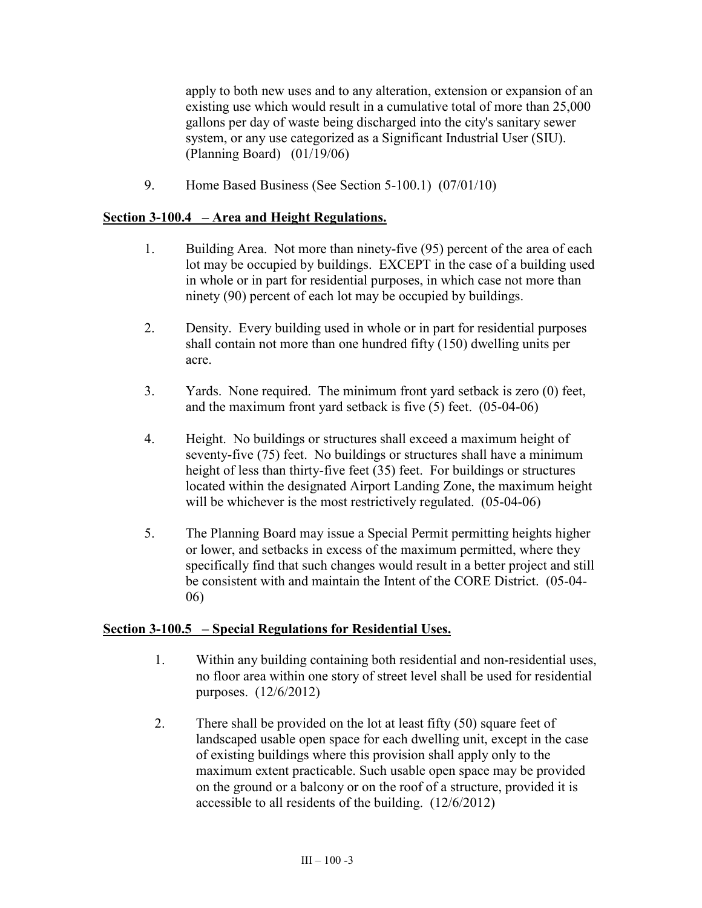apply to both new uses and to any alteration, extension or expansion of an existing use which would result in a cumulative total of more than 25,000 gallons per day of waste being discharged into the city's sanitary sewer system, or any use categorized as a Significant Industrial User (SIU). (Planning Board) (01/19/06)

9. Home Based Business (See Section 5-100.1) (07/01/10)

## **Section 3-100.4 – Area and Height Regulations.**

- 1. Building Area. Not more than ninety-five (95) percent of the area of each lot may be occupied by buildings. EXCEPT in the case of a building used in whole or in part for residential purposes, in which case not more than ninety (90) percent of each lot may be occupied by buildings.
- 2. Density. Every building used in whole or in part for residential purposes shall contain not more than one hundred fifty (150) dwelling units per acre.
- 3. Yards. None required. The minimum front yard setback is zero (0) feet, and the maximum front yard setback is five (5) feet. (05-04-06)
- 4. Height. No buildings or structures shall exceed a maximum height of seventy-five (75) feet. No buildings or structures shall have a minimum height of less than thirty-five feet (35) feet. For buildings or structures located within the designated Airport Landing Zone, the maximum height will be whichever is the most restrictively regulated. (05-04-06)
- 5. The Planning Board may issue a Special Permit permitting heights higher or lower, and setbacks in excess of the maximum permitted, where they specifically find that such changes would result in a better project and still be consistent with and maintain the Intent of the CORE District. (05-04- 06)

### **Section 3-100.5 – Special Regulations for Residential Uses.**

- 1. Within any building containing both residential and non-residential uses, no floor area within one story of street level shall be used for residential purposes. (12/6/2012)
- 2. There shall be provided on the lot at least fifty (50) square feet of landscaped usable open space for each dwelling unit, except in the case of existing buildings where this provision shall apply only to the maximum extent practicable. Such usable open space may be provided on the ground or a balcony or on the roof of a structure, provided it is accessible to all residents of the building. (12/6/2012)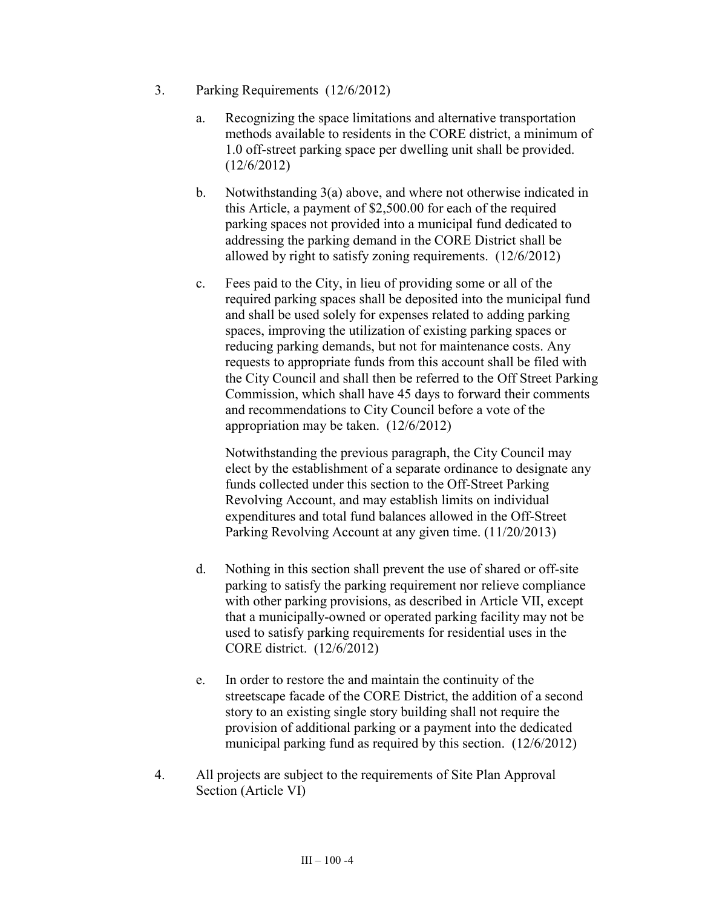- 3. Parking Requirements (12/6/2012)
	- a. Recognizing the space limitations and alternative transportation methods available to residents in the CORE district, a minimum of 1.0 off-street parking space per dwelling unit shall be provided. (12/6/2012)
	- b. Notwithstanding 3(a) above, and where not otherwise indicated in this Article, a payment of \$2,500.00 for each of the required parking spaces not provided into a municipal fund dedicated to addressing the parking demand in the CORE District shall be allowed by right to satisfy zoning requirements. (12/6/2012)
	- c. Fees paid to the City, in lieu of providing some or all of the required parking spaces shall be deposited into the municipal fund and shall be used solely for expenses related to adding parking spaces, improving the utilization of existing parking spaces or reducing parking demands, but not for maintenance costs. Any requests to appropriate funds from this account shall be filed with the City Council and shall then be referred to the Off Street Parking Commission, which shall have 45 days to forward their comments and recommendations to City Council before a vote of the appropriation may be taken. (12/6/2012)

Notwithstanding the previous paragraph, the City Council may elect by the establishment of a separate ordinance to designate any funds collected under this section to the Off-Street Parking Revolving Account, and may establish limits on individual expenditures and total fund balances allowed in the Off-Street Parking Revolving Account at any given time. (11/20/2013)

- d. Nothing in this section shall prevent the use of shared or off-site parking to satisfy the parking requirement nor relieve compliance with other parking provisions, as described in Article VII, except that a municipally-owned or operated parking facility may not be used to satisfy parking requirements for residential uses in the CORE district. (12/6/2012)
- e. In order to restore the and maintain the continuity of the streetscape facade of the CORE District, the addition of a second story to an existing single story building shall not require the provision of additional parking or a payment into the dedicated municipal parking fund as required by this section. (12/6/2012)
- 4. All projects are subject to the requirements of Site Plan Approval Section (Article VI)